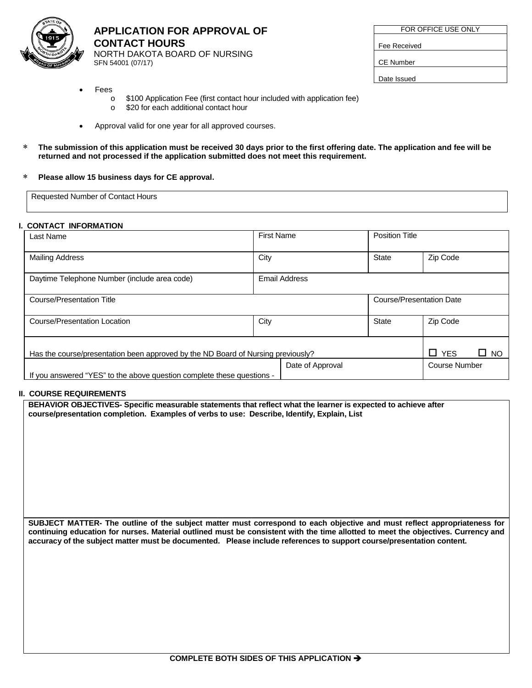

**APPLICATION FOR APPROVAL OF CONTACT HOURS**  NORTH DAKOTA BOARD OF NURSING SFN 54001 (07/17)

| FOR OFFICE USE ONLY |  |  |  |
|---------------------|--|--|--|
|                     |  |  |  |
| Fee Received        |  |  |  |
|                     |  |  |  |
| CE Number           |  |  |  |
|                     |  |  |  |

Date Issued

- **Fees** 
	- $\circ$  \$100 Application Fee (first contact hour included with application fee)<br> $\circ$  \$20 for each additional contact hour
	- \$20 for each additional contact hour
- Approval valid for one year for all approved courses.
- ∗ **The submission of this application must be received 30 days prior to the first offering date. The application and fee will be returned and not processed if the application submitted does not meet this requirement.**

#### ∗ **Please allow 15 business days for CE approval.**

Requested Number of Contact Hours

# **I. CONTACT INFORMATION**

| Last Name                                                                        | <b>First Name</b> | <b>Position Title</b> |                                 |          |
|----------------------------------------------------------------------------------|-------------------|-----------------------|---------------------------------|----------|
| <b>Mailing Address</b>                                                           | City              | <b>State</b>          | Zip Code                        |          |
| Daytime Telephone Number (include area code)                                     | Email Address     |                       |                                 |          |
| Course/Presentation Title                                                        |                   |                       | <b>Course/Presentation Date</b> |          |
| Course/Presentation Location                                                     | City              | <b>State</b>          | Zip Code                        |          |
| Has the course/presentation been approved by the ND Board of Nursing previously? |                   |                       | $\Box$ YES                      | 0<br>NO. |
|                                                                                  | Date of Approval  |                       | Course Number                   |          |
| If you answered "YES" to the above question complete these questions -           |                   |                       |                                 |          |

# **II. COURSE REQUIREMENTS**

**BEHAVIOR OBJECTIVES- Specific measurable statements that reflect what the learner is expected to achieve after course/presentation completion. Examples of verbs to use: Describe, Identify, Explain, List**

**SUBJECT MATTER- The outline of the subject matter must correspond to each objective and must reflect appropriateness for continuing education for nurses. Material outlined must be consistent with the time allotted to meet the objectives. Currency and accuracy of the subject matter must be documented. Please include references to support course/presentation content.**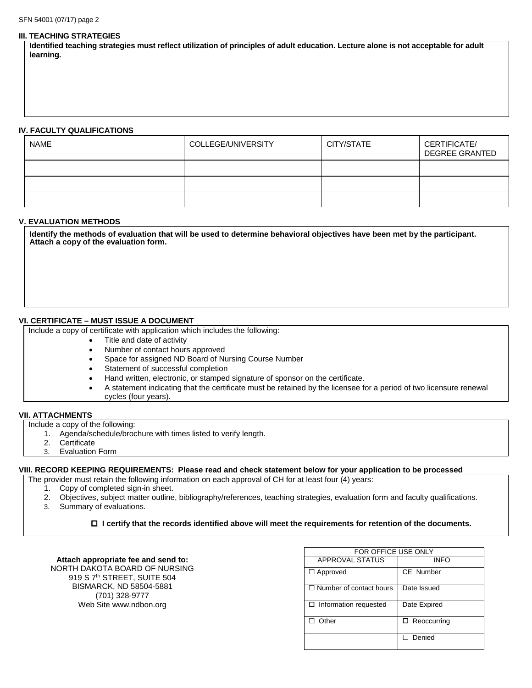#### **III. TEACHING STRATEGIES**

**Identified teaching strategies must reflect utilization of principles of adult education. Lecture alone is not acceptable for adult learning.** 

#### **IV. FACULTY QUALIFICATIONS**

| <b>NAME</b> | COLLEGE/UNIVERSITY | CITY/STATE | CERTIFICATE/<br><b>DEGREE GRANTED</b> |
|-------------|--------------------|------------|---------------------------------------|
|             |                    |            |                                       |
|             |                    |            |                                       |
|             |                    |            |                                       |

# **V. EVALUATION METHODS**

**Identify the methods of evaluation that will be used to determine behavioral objectives have been met by the participant. Attach a copy of the evaluation form.**

#### **VI. CERTIFICATE – MUST ISSUE A DOCUMENT**

Include a copy of certificate with application which includes the following:

- Title and date of activity
- Number of contact hours approved
- Space for assigned ND Board of Nursing Course Number
- Statement of successful completion
- Hand written, electronic, or stamped signature of sponsor on the certificate.
- A statement indicating that the certificate must be retained by the licensee for a period of two licensure renewal cycles (four years).

#### **VII. ATTACHMENTS**

Include a copy of the following:

- 1. Agenda/schedule/brochure with times listed to verify length.
- 2. Certificate
- 3. Evaluation Form

# **VIII. RECORD KEEPING REQUIREMENTS: Please read and check statement below for your application to be processed**

The provider must retain the following information on each approval of CH for at least four (4) years:

- 1. Copy of completed sign-in sheet.
- 2. Objectives, subject matter outline, bibliography/references, teaching strategies, evaluation form and faculty qualifications.
- 3. Summary of evaluations.

#### **I certify that the records identified above will meet the requirements for retention of the documents.**

| Attach appropriate fee and send to:     |
|-----------------------------------------|
| NORTH DAKOTA BOARD OF NURSING           |
| 919 S 7 <sup>th</sup> STREET, SUITE 504 |
| BISMARCK, ND 58504-5881                 |
| (701) 328-9777                          |
| Web Site www.ndbon.org                  |

| FOR OFFICE USE ONLY            |                    |  |  |  |
|--------------------------------|--------------------|--|--|--|
| <b>APPROVAL STATUS</b>         | <b>INFO</b>        |  |  |  |
| $\Box$ Approved                | CE Number          |  |  |  |
| $\Box$ Number of contact hours | Date Issued        |  |  |  |
| $\Box$ Information requested   | Date Expired       |  |  |  |
| Other                          | $\Box$ Reoccurring |  |  |  |
|                                | Denied             |  |  |  |